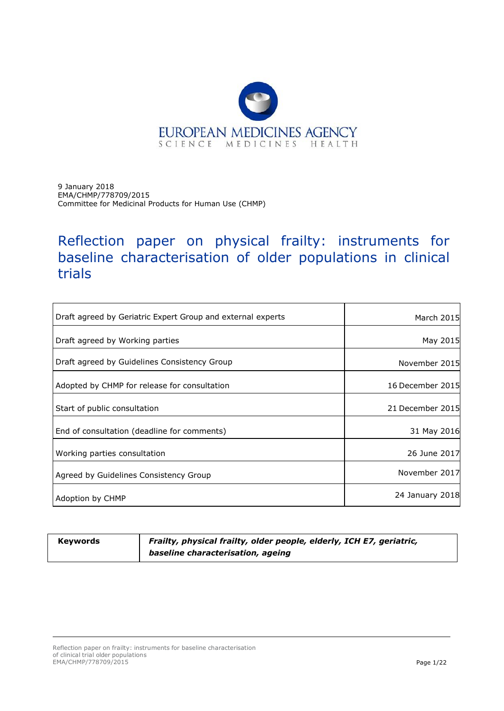

9 January 2018 EMA/CHMP/778709/2015 Committee for Medicinal Products for Human Use (CHMP)

# Reflection paper on physical frailty: instruments for baseline characterisation of older populations in clinical trials

| Draft agreed by Geriatric Expert Group and external experts | March 2015       |
|-------------------------------------------------------------|------------------|
| Draft agreed by Working parties                             | May 2015         |
| Draft agreed by Guidelines Consistency Group                | November 2015    |
| Adopted by CHMP for release for consultation                | 16 December 2015 |
| Start of public consultation                                | 21 December 2015 |
| End of consultation (deadline for comments)                 | 31 May 2016      |
| Working parties consultation                                | 26 June 2017     |
| Agreed by Guidelines Consistency Group                      | November 2017    |
| Adoption by CHMP                                            | 24 January 2018  |

**Keywords** *Frailty, physical frailty, older people, elderly, ICH E7, geriatric, baseline characterisation, ageing*

Reflection paper on frailty: instruments for baseline characterisation of clinical trial older populations EMA/CHMP/778709/2015 Page 1/22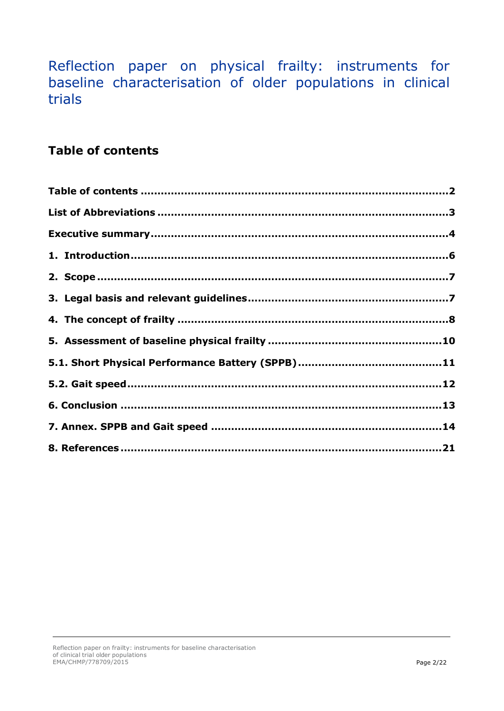Reflection paper on physical frailty: instruments for baseline characterisation of older populations in clinical trials

### <span id="page-1-0"></span>**Table of contents**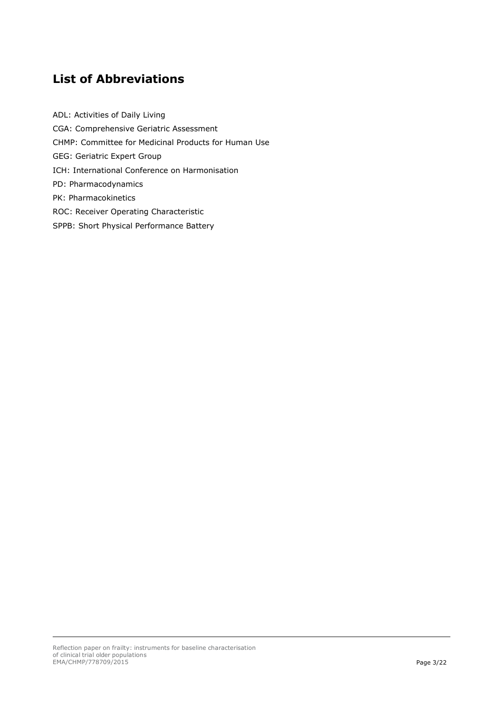## <span id="page-2-0"></span>**List of Abbreviations**

ADL: Activities of Daily Living CGA: Comprehensive Geriatric Assessment CHMP: Committee for Medicinal Products for Human Use GEG: Geriatric Expert Group ICH: International Conference on Harmonisation PD: Pharmacodynamics PK: Pharmacokinetics ROC: Receiver Operating Characteristic SPPB: Short Physical Performance Battery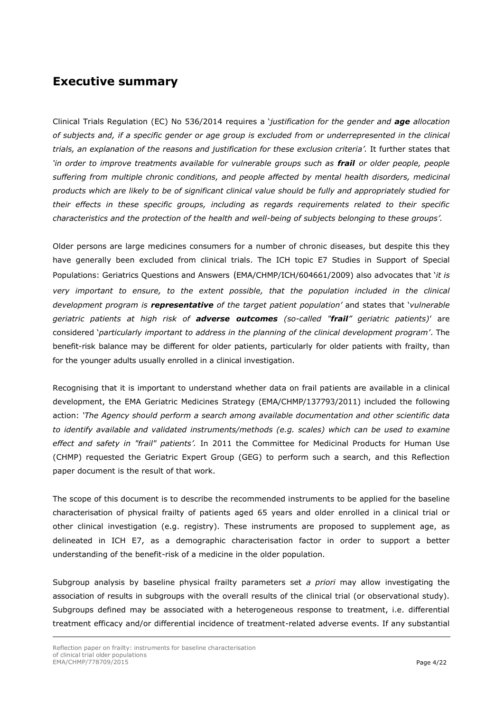### <span id="page-3-0"></span>**Executive summary**

Clinical Trials Regulation (EC) No 536/2014 requires a '*justification for the gender and age allocation of subjects and, if a specific gender or age group is excluded from or underrepresented in the clinical trials, an explanation of the reasons and justification for these exclusion criteria'.* It further states that *'in order to improve treatments available for vulnerable groups such as frail or older people, people suffering from multiple chronic conditions, and people affected by mental health disorders, medicinal products which are likely to be of significant clinical value should be fully and appropriately studied for their effects in these specific groups, including as regards requirements related to their specific characteristics and the protection of the health and well-being of subjects belonging to these groups'.*

Older persons are large medicines consumers for a number of chronic diseases, but despite this they have generally been excluded from clinical trials. The ICH topic E7 Studies in Support of Special Populations: Geriatrics Questions and Answers (EMA/CHMP/ICH/604661/2009) also advocates that '*it is very important to ensure, to the extent possible, that the population included in the clinical development program is representative of the target patient population'* and states that '*vulnerable geriatric patients at high risk of adverse outcomes (so-called "frail" geriatric patients)*' are considered '*particularly important to address in the planning of the clinical development program'*. The benefit-risk balance may be different for older patients, particularly for older patients with frailty, than for the younger adults usually enrolled in a clinical investigation.

Recognising that it is important to understand whether data on frail patients are available in a clinical development, the EMA Geriatric Medicines Strategy (EMA/CHMP/137793/2011) included the following action: *'The Agency should perform a search among available documentation and other scientific data to identify available and validated instruments/methods (e.g. scales) which can be used to examine effect and safety in "frail" patients'.* In 2011 the Committee for Medicinal Products for Human Use (CHMP) requested the Geriatric Expert Group (GEG) to perform such a search, and this Reflection paper document is the result of that work.

The scope of this document is to describe the recommended instruments to be applied for the baseline characterisation of physical frailty of patients aged 65 years and older enrolled in a clinical trial or other clinical investigation (e.g. registry). These instruments are proposed to supplement age, as delineated in ICH E7, as a demographic characterisation factor in order to support a better understanding of the benefit-risk of a medicine in the older population.

Subgroup analysis by baseline physical frailty parameters set *a priori* may allow investigating the association of results in subgroups with the overall results of the clinical trial (or observational study). Subgroups defined may be associated with a heterogeneous response to treatment, i.e. differential treatment efficacy and/or differential incidence of treatment-related adverse events. If any substantial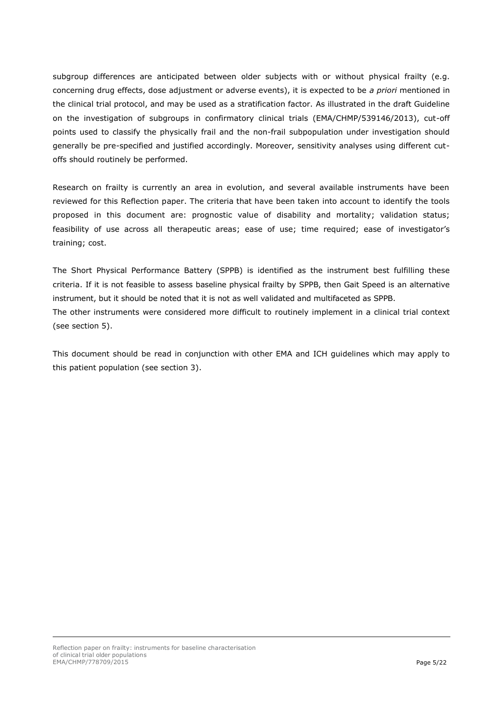subgroup differences are anticipated between older subjects with or without physical frailty (e.g. concerning drug effects, dose adjustment or adverse events), it is expected to be *a priori* mentioned in the clinical trial protocol, and may be used as a stratification factor. As illustrated in the draft Guideline on the investigation of subgroups in confirmatory clinical trials (EMA/CHMP/539146/2013), cut-off points used to classify the physically frail and the non-frail subpopulation under investigation should generally be pre-specified and justified accordingly. Moreover, sensitivity analyses using different cutoffs should routinely be performed.

Research on frailty is currently an area in evolution, and several available instruments have been reviewed for this Reflection paper. The criteria that have been taken into account to identify the tools proposed in this document are: prognostic value of disability and mortality; validation status; feasibility of use across all therapeutic areas; ease of use; time required; ease of investigator's training; cost.

The Short Physical Performance Battery (SPPB) is identified as the instrument best fulfilling these criteria. If it is not feasible to assess baseline physical frailty by SPPB, then Gait Speed is an alternative instrument, but it should be noted that it is not as well validated and multifaceted as SPPB. The other instruments were considered more difficult to routinely implement in a clinical trial context (see section 5).

This document should be read in conjunction with other EMA and ICH guidelines which may apply to this patient population (see section 3).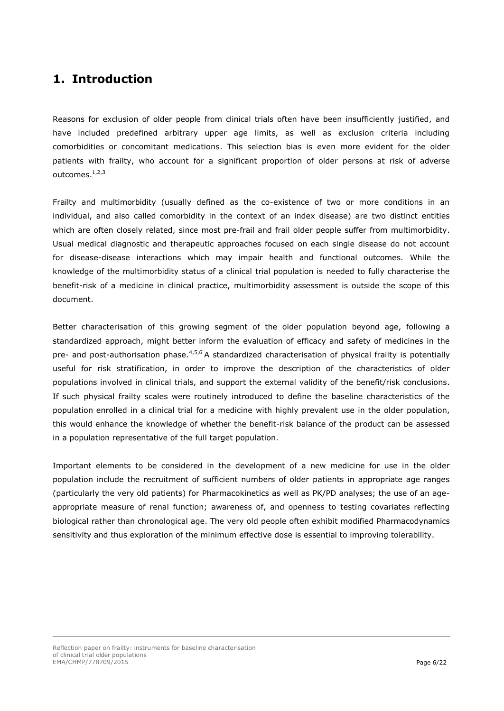### <span id="page-5-0"></span>**1. Introduction**

Reasons for exclusion of older people from clinical trials often have been insufficiently justified, and have included predefined arbitrary upper age limits, as well as exclusion criteria including comorbidities or concomitant medications. This selection bias is even more evident for the older patients with frailty, who account for a significant proportion of older persons at risk of adverse outcomes.<sup>1,2,3</sup>

Frailty and multimorbidity (usually defined as the co-existence of two or more conditions in an individual, and also called comorbidity in the context of an index disease) are two distinct entities which are often closely related, since most pre-frail and frail older people suffer from multimorbidity. Usual medical diagnostic and therapeutic approaches focused on each single disease do not account for disease-disease interactions which may impair health and functional outcomes. While the knowledge of the multimorbidity status of a clinical trial population is needed to fully characterise the benefit-risk of a medicine in clinical practice, multimorbidity assessment is outside the scope of this document.

<span id="page-5-1"></span>Better characterisation of this growing segment of the older population beyond age, following a standardized approach, might better inform the evaluation of efficacy and safety of medicines in the pre- and post-authorisation phase.<sup>4,5,6</sup> A standardized characterisation of physical frailty is potentially useful for risk stratification, in order to improve the description of the characteristics of older populations involved in clinical trials, and support the external validity of the benefit/risk conclusions. If such physical frailty scales were routinely introduced to define the baseline characteristics of the population enrolled in a clinical trial for a medicine with highly prevalent use in the older population, this would enhance the knowledge of whether the benefit-risk balance of the product can be assessed in a population representative of the full target population.

Important elements to be considered in the development of a new medicine for use in the older population include the recruitment of sufficient numbers of older patients in appropriate age ranges (particularly the very old patients) for Pharmacokinetics as well as PK/PD analyses; the use of an ageappropriate measure of renal function; awareness of, and openness to testing covariates reflecting biological rather than chronological age. The very old people often exhibit modified Pharmacodynamics sensitivity and thus exploration of the minimum effective dose is essential to improving tolerability.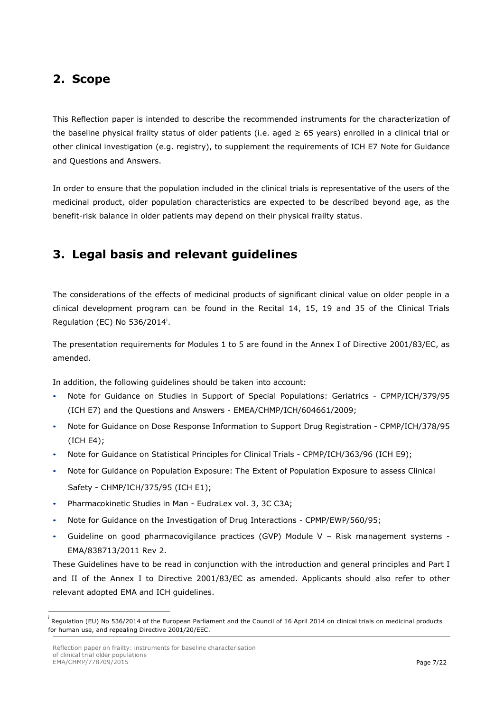### <span id="page-6-0"></span>**2. Scope**

This Reflection paper is intended to describe the recommended instruments for the characterization of the baseline physical frailty status of older patients (i.e. aged ≥ 65 years) enrolled in a clinical trial or other clinical investigation (e.g. registry), to supplement the requirements of ICH E7 Note for Guidance and Questions and Answers.

In order to ensure that the population included in the clinical trials is representative of the users of the medicinal product, older population characteristics are expected to be described beyond age, as the benefit-risk balance in older patients may depend on their physical frailty status.

## <span id="page-6-1"></span>**3. Legal basis and relevant guidelines**

The considerations of the effects of medicinal products of significant clinical value on older people in a clinical development program can be found in the Recital 14, 15, 19 and 35 of the Clinical Trials Regulation (EC) No 536/2014<sup>i</sup>.

The presentation requirements for Modules 1 to 5 are found in the Annex I of Directive 2001/83/EC, as amended.

In addition, the following guidelines should be taken into account:

- Note for Guidance on Studies in Support of Special Populations: Geriatrics CPMP/ICH/379/95 (ICH E7) and the Questions and Answers - EMEA/CHMP/ICH/604661/2009;
- Note for Guidance on Dose Response Information to Support Drug Registration CPMP/ICH/378/95 (ICH E4);
- Note for Guidance on Statistical Principles for Clinical Trials CPMP/ICH/363/96 (ICH E9);
- Note for Guidance on Population Exposure: The Extent of Population Exposure to assess Clinical Safety - CHMP/ICH/375/95 (ICH E1);
- Pharmacokinetic Studies in Man EudraLex vol. 3, 3C C3A;
- Note for Guidance on the Investigation of Drug Interactions CPMP/EWP/560/95;
- Guideline on good pharmacovigilance practices (GVP) Module V Risk management systems EMA/838713/2011 Rev 2.

These Guidelines have to be read in conjunction with the introduction and general principles and Part I and II of the Annex I to Directive 2001/83/EC as amended. Applicants should also refer to other relevant adopted EMA and ICH guidelines.

-

i Regulation (EU) No 536/2014 of the European Parliament and the Council of 16 April 2014 on clinical trials on medicinal products for human use, and repealing Directive 2001/20/EEC.

Reflection paper on frailty: instruments for baseline characterisation of clinical trial older populations EMA/CHMP/778709/2015 Page 7/22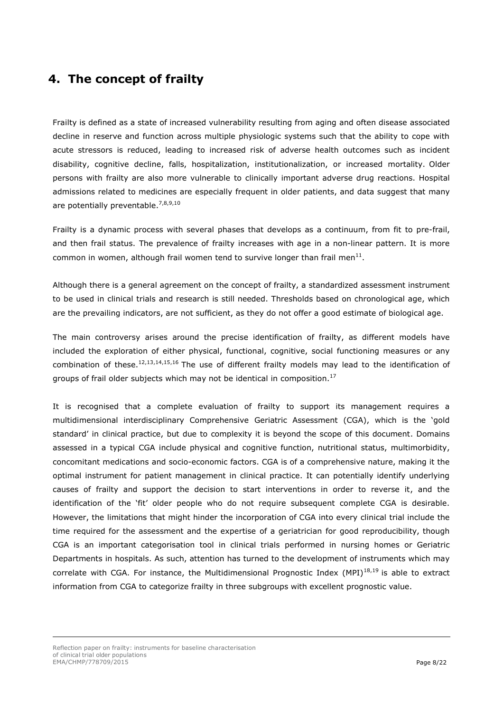### <span id="page-7-0"></span>**4. The concept of frailty**

Frailty is defined as a state of increased vulnerability resulting from aging and often disease associated decline in reserve and function across multiple physiologic systems such that the ability to cope with acute stressors is reduced, leading to increased risk of adverse health outcomes such as incident disability, cognitive decline, falls, hospitalization, institutionalization, or increased mortality. Older persons with frailty are also more vulnerable to clinically important adverse drug reactions. Hospital admissions related to medicines are especially frequent in older patients, and data suggest that many are potentially preventable.<sup>7,8,9,10</sup>

Frailty is a dynamic process with several phases that develops as a continuum, from fit to pre-frail, and then frail status. The prevalence of frailty increases with age in a non-linear pattern. It is more common in women, although frail women tend to survive longer than frail men $^{11}$ .

Although there is a general agreement on the concept of frailty, a standardized assessment instrument to be used in clinical trials and research is still needed. Thresholds based on chronological age, which are the prevailing indicators, are not sufficient, as they do not offer a good estimate of biological age.

<span id="page-7-2"></span><span id="page-7-1"></span>The main controversy arises around the precise identification of frailty, as different models have included the exploration of either physical, functional, cognitive, social functioning measures or any combination of these.<sup>12,13,14,15,16</sup> The use of different frailty models may lead to the identification of groups of frail older subjects which may not be identical in composition.<sup>17</sup>

It is recognised that a complete evaluation of frailty to support its management requires a multidimensional interdisciplinary Comprehensive Geriatric Assessment (CGA), which is the 'gold standard' in clinical practice, but due to complexity it is beyond the scope of this document. Domains assessed in a typical CGA include physical and cognitive function, nutritional status, multimorbidity, concomitant medications and socio-economic factors. CGA is of a comprehensive nature, making it the optimal instrument for patient management in clinical practice. It can potentially identify underlying causes of frailty and support the decision to start interventions in order to reverse it, and the identification of the 'fit' older people who do not require subsequent complete CGA is desirable. However, the limitations that might hinder the incorporation of CGA into every clinical trial include the time required for the assessment and the expertise of a geriatrician for good reproducibility, though CGA is an important categorisation tool in clinical trials performed in nursing homes or Geriatric Departments in hospitals. As such, attention has turned to the development of instruments which may correlate with CGA. For instance, the Multidimensional Prognostic Index (MPI)<sup>18,19</sup> is able to extract information from CGA to categorize frailty in three subgroups with excellent prognostic value.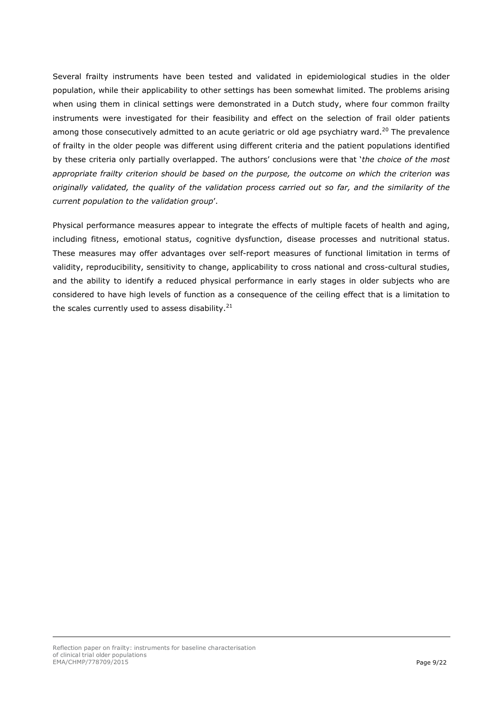Several frailty instruments have been tested and validated in epidemiological studies in the older population, while their applicability to other settings has been somewhat limited. The problems arising when using them in clinical settings were demonstrated in a Dutch study, where four common frailty instruments were investigated for their feasibility and effect on the selection of frail older patients among those consecutively admitted to an acute geriatric or old age psychiatry ward.<sup>20</sup> The prevalence of frailty in the older people was different using different criteria and the patient populations identified by these criteria only partially overlapped. The authors' conclusions were that '*the choice of the most appropriate frailty criterion should be based on the purpose, the outcome on which the criterion was originally validated, the quality of the validation process carried out so far, and the similarity of the current population to the validation group*'.

<span id="page-8-0"></span>Physical performance measures appear to integrate the effects of multiple facets of health and aging, including fitness, emotional status, cognitive dysfunction, disease processes and nutritional status. These measures may offer advantages over self-report measures of functional limitation in terms of validity, reproducibility, sensitivity to change, applicability to cross national and cross-cultural studies, and the ability to identify a reduced physical performance in early stages in older subjects who are considered to have high levels of function as a consequence of the ceiling effect that is a limitation to the scales currently used to assess disability.<sup>21</sup>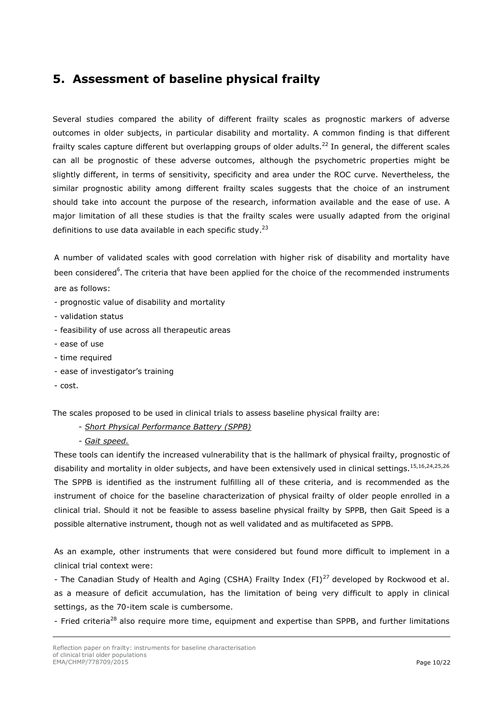### <span id="page-9-0"></span>**5. Assessment of baseline physical frailty**

Several studies compared the ability of different frailty scales as prognostic markers of adverse outcomes in older subjects, in particular disability and mortality. A common finding is that different frailty scales capture different but overlapping groups of older adults. <sup>22</sup> In general, the different scales can all be prognostic of these adverse outcomes, although the psychometric properties might be slightly different, in terms of sensitivity, specificity and area under the ROC curve. Nevertheless, the similar prognostic ability among different frailty scales suggests that the choice of an instrument should take into account the purpose of the research, information available and the ease of use. A major limitation of all these studies is that the frailty scales were usually adapted from the original definitions to use data available in each specific study.<sup>23</sup>

A number of validated scales with good correlation with higher risk of disability and mortality have been considered<sup>[6](#page-5-1)</sup>. The criteria that have been applied for the choice of the recommended instruments are as follows:

- prognostic value of disability and mortality
- validation status
- feasibility of use across all therapeutic areas
- ease of use
- time required
- ease of investigator's training
- cost.

The scales proposed to be used in clinical trials to assess baseline physical frailty are:

- *Short Physical Performance Battery (SPPB)*

*- Gait speed.*

These tools can identify the increased vulnerability that is the hallmark of physical frailty, prognostic of disability and mortality in older subjects, and have been extensively used in clinical settings.<sup>[15,](#page-7-1)[16,](#page-7-2)24,25,26</sup> The SPPB is identified as the instrument fulfilling all of these criteria, and is recommended as the instrument of choice for the baseline characterization of physical frailty of older people enrolled in a clinical trial. Should it not be feasible to assess baseline physical frailty by SPPB, then Gait Speed is a possible alternative instrument, though not as well validated and as multifaceted as SPPB.

As an example, other instruments that were considered but found more difficult to implement in a clinical trial context were:

- The Canadian Study of Health and Aging (CSHA) Frailty Index (FI)<sup>27</sup> developed by Rockwood et al. as a measure of deficit accumulation, has the limitation of being very difficult to apply in clinical settings, as the 70-item scale is cumbersome.

- Fried criteria<sup>28</sup> also require more time, equipment and expertise than SPPB, and further limitations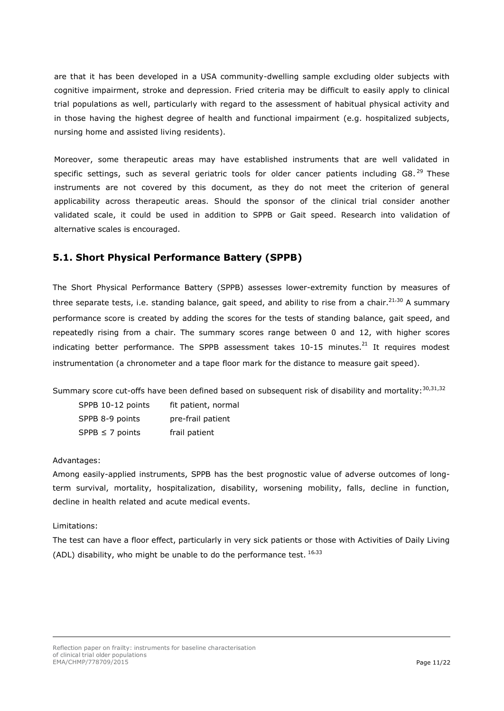are that it has been developed in a USA community-dwelling sample excluding older subjects with cognitive impairment, stroke and depression. Fried criteria may be difficult to easily apply to clinical trial populations as well, particularly with regard to the assessment of habitual physical activity and in those having the highest degree of health and functional impairment (e.g. hospitalized subjects, nursing home and assisted living residents).

Moreover, some therapeutic areas may have established instruments that are well validated in specific settings, such as several geriatric tools for older cancer patients including G8.<sup>29</sup> These instruments are not covered by this document, as they do not meet the criterion of general applicability across therapeutic areas. Should the sponsor of the clinical trial consider another validated scale, it could be used in addition to SPPB or Gait speed. Research into validation of alternative scales is encouraged.

### <span id="page-10-0"></span>**5.1. Short Physical Performance Battery (SPPB)**

The Short Physical Performance Battery (SPPB) assesses lower-extremity function by measures of three separate tests, i.e. standing balance, gait speed, and ability to rise from a chair.<sup>[21](#page-8-0),30</sup> A summary performance score is created by adding the scores for the tests of standing balance, gait speed, and repeatedly rising from a chair. The summary scores range between 0 and 12, with higher scores indicating better performance. The SPPB assessment takes 10-15 minutes.<sup>[21](#page-8-0)</sup> It requires modest instrumentation (a chronometer and a tape floor mark for the distance to measure gait speed).

Summary score cut-offs have been defined based on subsequent risk of disability and mortality: [30,](#page-10-1)31,32

<span id="page-10-1"></span>

| SPPB 10-12 points    | fit patient, normal |
|----------------------|---------------------|
| SPPB 8-9 points      | pre-frail patient   |
| $SPPB \leq 7$ points | frail patient       |

### Advantages:

Among easily-applied instruments, SPPB has the best prognostic value of adverse outcomes of longterm survival, mortality, hospitalization, disability, worsening mobility, falls, decline in function, decline in health related and acute medical events.

#### Limitations:

The test can have a floor effect, particularly in very sick patients or those with Activities of Daily Living (ADL) disability, who might be unable to do the performance test.  $16,33$  $16,33$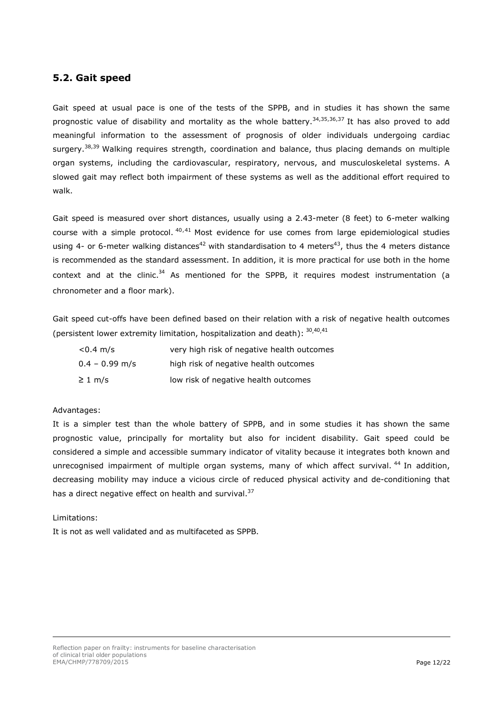### <span id="page-11-0"></span>**5.2. Gait speed**

<span id="page-11-4"></span><span id="page-11-1"></span>Gait speed at usual pace is one of the tests of the SPPB, and in studies it has shown the same prognostic value of disability and mortality as the whole battery.<sup>34,35,36,37</sup> It has also proved to add meaningful information to the assessment of prognosis of older individuals undergoing cardiac surgery.<sup>38,39</sup> Walking requires strength, coordination and balance, thus placing demands on multiple organ systems, including the cardiovascular, respiratory, nervous, and musculoskeletal systems. A slowed gait may reflect both impairment of these systems as well as the additional effort required to walk.

<span id="page-11-3"></span><span id="page-11-2"></span>Gait speed is measured over short distances, usually using a 2.43-meter (8 feet) to 6-meter walking course with a simple protocol.  $40,41$  Most evidence for use comes from large epidemiological studies using 4- or 6-meter walking distances<sup>42</sup> with standardisation to 4 meters<sup>43</sup>, thus the 4 meters distance is recommended as the standard assessment. In addition, it is more practical for use both in the home context and at the clinic.<sup>[34](#page-11-1)</sup> As mentioned for the SPPB, it requires modest instrumentation (a chronometer and a floor mark).

Gait speed cut-offs have been defined based on their relation with a risk of negative health outcomes (persistent lower extremity limitation, hospitalization and death):  $30,40,41$  $30,40,41$  $30,40,41$  $30,40,41$  $30,40,41$ 

| $< 0.4 \, \text{m/s}$ | very high risk of negative health outcomes |
|-----------------------|--------------------------------------------|
| $0.4 - 0.99$ m/s      | high risk of negative health outcomes      |
| $\geq 1$ m/s          | low risk of negative health outcomes       |

### Advantages:

It is a simpler test than the whole battery of SPPB, and in some studies it has shown the same prognostic value, principally for mortality but also for incident disability. Gait speed could be considered a simple and accessible summary indicator of vitality because it integrates both known and unrecognised impairment of multiple organ systems, many of which affect survival.<sup>44</sup> In addition, decreasing mobility may induce a vicious circle of reduced physical activity and de-conditioning that has a direct negative effect on health and survival.<sup>[37](#page-11-4)</sup>

#### Limitations:

It is not as well validated and as multifaceted as SPPB.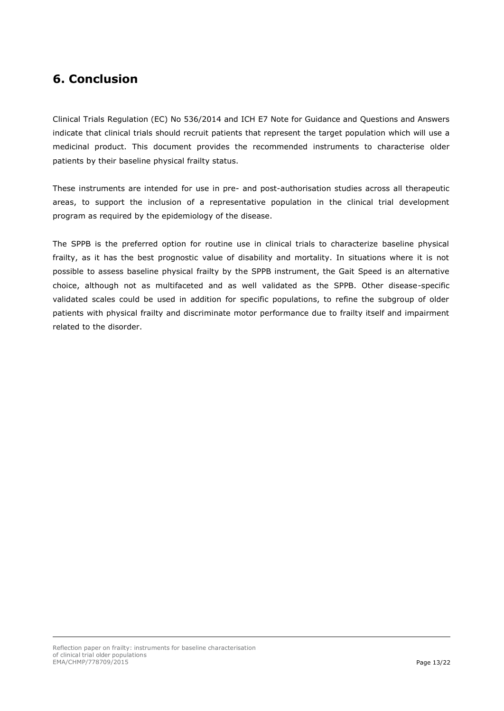### <span id="page-12-0"></span>**6. Conclusion**

Clinical Trials Regulation (EC) No 536/2014 and ICH E7 Note for Guidance and Questions and Answers indicate that clinical trials should recruit patients that represent the target population which will use a medicinal product. This document provides the recommended instruments to characterise older patients by their baseline physical frailty status.

These instruments are intended for use in pre- and post-authorisation studies across all therapeutic areas, to support the inclusion of a representative population in the clinical trial development program as required by the epidemiology of the disease.

The SPPB is the preferred option for routine use in clinical trials to characterize baseline physical frailty, as it has the best prognostic value of disability and mortality. In situations where it is not possible to assess baseline physical frailty by the SPPB instrument, the Gait Speed is an alternative choice, although not as multifaceted and as well validated as the SPPB. Other disease-specific validated scales could be used in addition for specific populations, to refine the subgroup of older patients with physical frailty and discriminate motor performance due to frailty itself and impairment related to the disorder.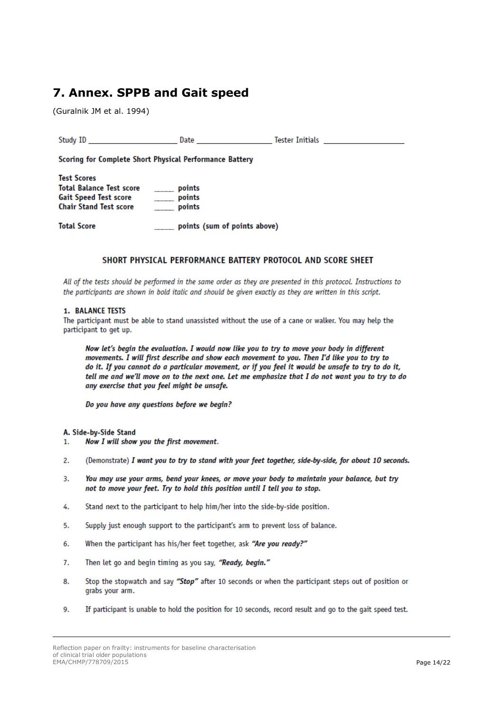### <span id="page-13-0"></span>7. Annex. SPPB and Gait speed

(Guralnik JM et al. 1994)

| Study ID and the study of the study of the study of the study of the study of the study of the study of the study of the study of the study of the study of the study of the study of the study of the study of the study of t | Date and the contract of the contract of the contract of the contract of the contract of the contract of the c | Tester Initials <b>Example 19</b> |
|--------------------------------------------------------------------------------------------------------------------------------------------------------------------------------------------------------------------------------|----------------------------------------------------------------------------------------------------------------|-----------------------------------|
|                                                                                                                                                                                                                                | Scoring for Complete Short Physical Performance Battery                                                        |                                   |
| <b>Test Scores</b><br><b>Total Balance Test score</b><br><b>Gait Speed Test score</b><br><b>Chair Stand Test score</b>                                                                                                         | points<br>points<br>$\overline{\phantom{a}}$<br>points                                                         |                                   |
| <b>Total Score</b>                                                                                                                                                                                                             | points (sum of points above)                                                                                   |                                   |

### SHORT PHYSICAL PERFORMANCE BATTERY PROTOCOL AND SCORE SHEET

All of the tests should be performed in the same order as they are presented in this protocol. Instructions to the participants are shown in bold italic and should be given exactly as they are written in this script.

#### **1. BALANCE TESTS**

The participant must be able to stand unassisted without the use of a cane or walker. You may help the participant to get up.

Now let's begin the evaluation. I would now like you to try to move your body in different movements. I will first describe and show each movement to you. Then I'd like you to try to do it. If you cannot do a particular movement, or if you feel it would be unsafe to try to do it, tell me and we'll move on to the next one. Let me emphasize that I do not want you to try to do any exercise that you feel might be unsafe.

Do you have any questions before we begin?

#### A. Side-by-Side Stand

- Now I will show you the first movement. 1.
- $\overline{2}$ . (Demonstrate) I want you to try to stand with your feet together, side-by-side, for about 10 seconds.
- $\overline{3}$ . You may use your arms, bend your knees, or move your body to maintain your balance, but try not to move your feet. Try to hold this position until I tell you to stop.
- 4. Stand next to the participant to help him/her into the side-by-side position.
- 5. Supply just enough support to the participant's arm to prevent loss of balance.
- 6. When the participant has his/her feet together, ask "Are you ready?"
- 7. Then let go and begin timing as you say, "Ready, begin."
- Stop the stopwatch and say "Stop" after 10 seconds or when the participant steps out of position or 8. grabs your arm.
- 9. If participant is unable to hold the position for 10 seconds, record result and go to the gait speed test.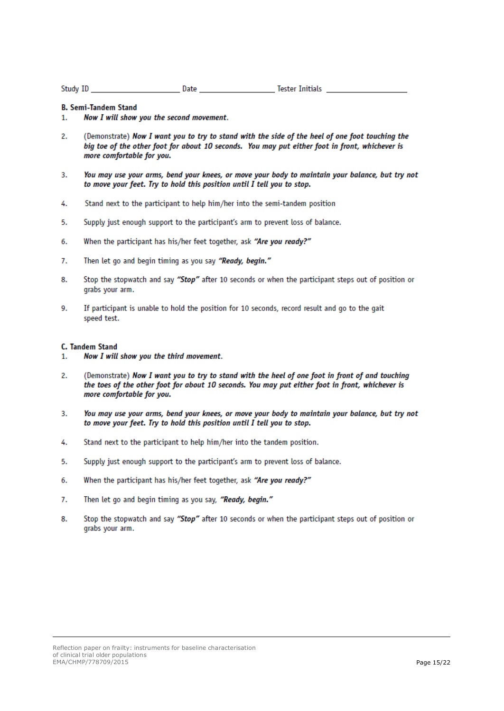| Study ID |  | Date | <b>Tester Initials</b> |  |
|----------|--|------|------------------------|--|
|          |  |      |                        |  |

#### **B. Semi-Tandem Stand**

- $1.$ Now I will show you the second movement.
- $\overline{2}$ . (Demonstrate) Now I want you to try to stand with the side of the heel of one foot touching the big toe of the other foot for about 10 seconds. You may put either foot in front, whichever is more comfortable for you.
- 3. You may use your arms, bend your knees, or move your body to maintain your balance, but try not to move your feet. Try to hold this position until I tell you to stop.
- 4. Stand next to the participant to help him/her into the semi-tandem position
- 5. Supply just enough support to the participant's arm to prevent loss of balance.
- When the participant has his/her feet together, ask "Are you ready?" 6.
- 7. Then let go and begin timing as you say "Ready, begin."
- 8. Stop the stopwatch and say "Stop" after 10 seconds or when the participant steps out of position or grabs your arm.
- 9. If participant is unable to hold the position for 10 seconds, record result and go to the gait speed test.

#### **C. Tandem Stand**

- Now I will show you the third movement. 1.
- $\overline{2}$ . (Demonstrate) Now I want you to try to stand with the heel of one foot in front of and touching the toes of the other foot for about 10 seconds. You may put either foot in front, whichever is more comfortable for you.
- You may use your arms, bend your knees, or move your body to maintain your balance, but try not  $3.$ to move your feet. Try to hold this position until I tell you to stop.
- 4. Stand next to the participant to help him/her into the tandem position.
- 5. Supply just enough support to the participant's arm to prevent loss of balance.
- 6. When the participant has his/her feet together, ask "Are you ready?"
- 7. Then let go and begin timing as you say, "Ready, begin."
- 8. Stop the stopwatch and say "Stop" after 10 seconds or when the participant steps out of position or grabs your arm.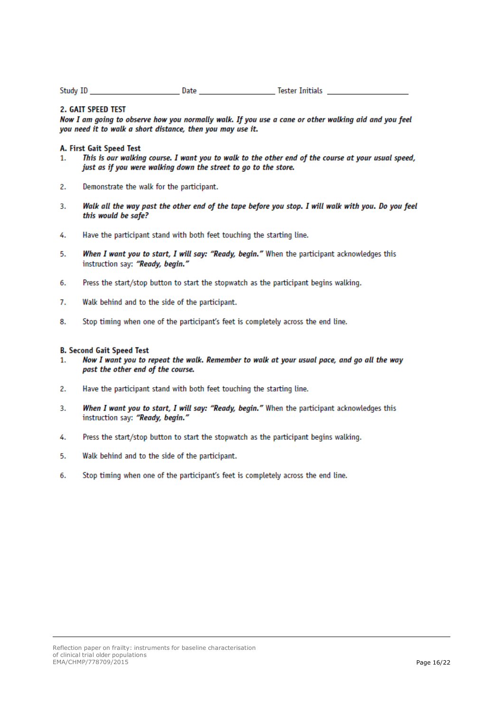| Study ID | Date | <b>Tester Initials</b> |
|----------|------|------------------------|
|          |      |                        |

#### 2. GAIT SPEED TEST

Now I am going to observe how you normally walk. If you use a cane or other walking aid and you feel you need it to walk a short distance, then you may use it.

#### A. First Gait Speed Test

- This is our walking course. I want you to walk to the other end of the course at your usual speed, 1. just as if you were walking down the street to go to the store.
- 2. Demonstrate the walk for the participant.
- Walk all the way past the other end of the tape before you stop. I will walk with you. Do you feel 3. this would be safe?
- Have the participant stand with both feet touching the starting line. 4.
- When I want you to start, I will say: "Ready, begin." When the participant acknowledges this 5. instruction say: "Ready, begin."
- Press the start/stop button to start the stopwatch as the participant begins walking. 6.
- 7. Walk behind and to the side of the participant.
- Stop timing when one of the participant's feet is completely across the end line. 8.

#### **B. Second Gait Speed Test**

- Now I want you to repeat the walk. Remember to walk at your usual pace, and go all the way 1. past the other end of the course.
- 2. Have the participant stand with both feet touching the starting line.
- 3. When I want you to start, I will say: "Ready, begin." When the participant acknowledges this instruction say: "Ready, begin."
- Press the start/stop button to start the stopwatch as the participant begins walking. 4.
- 5. Walk behind and to the side of the participant.
- Stop timing when one of the participant's feet is completely across the end line. 6.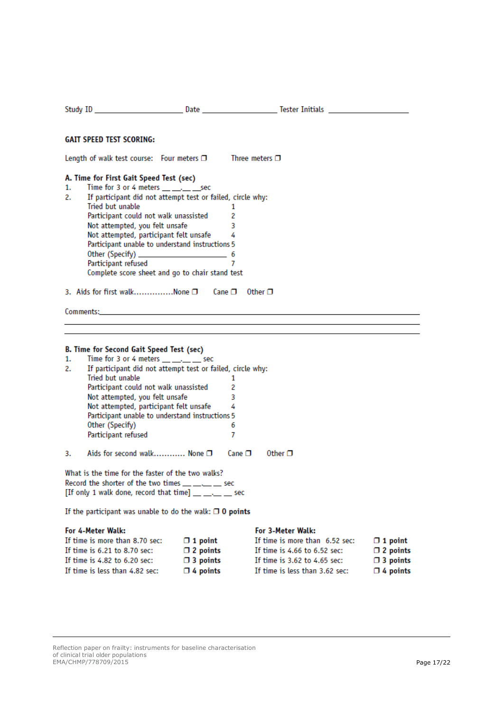| <b>GAIT SPEED TEST SCORING:</b>                                                                                                                                                                                                                                                                                                                                                                                                                                                                                                                        |  |                                                                         |                                                                                                                                                           |                                                                         |  |
|--------------------------------------------------------------------------------------------------------------------------------------------------------------------------------------------------------------------------------------------------------------------------------------------------------------------------------------------------------------------------------------------------------------------------------------------------------------------------------------------------------------------------------------------------------|--|-------------------------------------------------------------------------|-----------------------------------------------------------------------------------------------------------------------------------------------------------|-------------------------------------------------------------------------|--|
|                                                                                                                                                                                                                                                                                                                                                                                                                                                                                                                                                        |  |                                                                         |                                                                                                                                                           |                                                                         |  |
| Length of walk test course: Four meters $\Box$ Three meters $\Box$<br>A. Time for First Gait Speed Test (sec)<br>Time for 3 or 4 meters $\underline{\hspace{1cm}}\dots$ . sec<br>1.<br>2.<br>If participant did not attempt test or failed, circle why:<br>Tried but unable<br>1<br>Participant could not walk unassisted<br>2<br>Not attempted, you felt unsafe<br>3<br>Not attempted, participant felt unsafe<br>4<br>Participant unable to understand instructions 5<br>7<br>Participant refused<br>Complete score sheet and go to chair stand test |  |                                                                         |                                                                                                                                                           |                                                                         |  |
| 3. Aids for first walkNone $\Box$ Cane $\Box$ Other $\Box$                                                                                                                                                                                                                                                                                                                                                                                                                                                                                             |  |                                                                         |                                                                                                                                                           |                                                                         |  |
|                                                                                                                                                                                                                                                                                                                                                                                                                                                                                                                                                        |  |                                                                         |                                                                                                                                                           |                                                                         |  |
| B. Time for Second Gait Speed Test (sec)<br>Time for 3 or 4 meters $\_\_\_\_\_\_\_\_\$ sec<br>1.<br>If participant did not attempt test or failed, circle why:<br>2.<br>Tried but unable<br>1<br>Participant could not walk unassisted<br>2<br>Not attempted, you felt unsafe<br>3<br>Not attempted, participant felt unsafe<br>4<br>Participant unable to understand instructions 5<br>Other (Specify)<br>6<br>Participant refused<br>7                                                                                                               |  |                                                                         |                                                                                                                                                           |                                                                         |  |
| Aids for second walk None □<br>3.                                                                                                                                                                                                                                                                                                                                                                                                                                                                                                                      |  | Cane $\Box$                                                             | Other $\Box$                                                                                                                                              |                                                                         |  |
| What is the time for the faster of the two walks?<br>Record the shorter of the two times __ __ _ _ sec<br>[If only 1 walk done, record that time] __ __ _ _ sec<br>If the participant was unable to do the walk: $\Box$ O points                                                                                                                                                                                                                                                                                                                       |  |                                                                         |                                                                                                                                                           |                                                                         |  |
| For 4-Meter Walk:<br>If time is more than 8.70 sec:<br>If time is 6.21 to 8.70 sec:<br>If time is $4.82$ to $6.20$ sec:<br>If time is less than 4.82 sec:                                                                                                                                                                                                                                                                                                                                                                                              |  | $\Box$ 1 point<br>$\Box$ 2 points<br>$\Box$ 3 points<br>$\Box$ 4 points | For 3-Meter Walk:<br>If time is more than 6.52 sec:<br>If time is $4.66$ to $6.52$ sec:<br>If time is 3.62 to 4.65 sec:<br>If time is less than 3.62 sec: | $\Box$ 1 point<br>$\Box$ 2 points<br>$\Box$ 3 points<br>$\Box$ 4 points |  |

Reflection paper on frailty: instruments for baseline characterisation of clinical trial older populations E M A /CHMP /77870 9 /2015 Page 17/22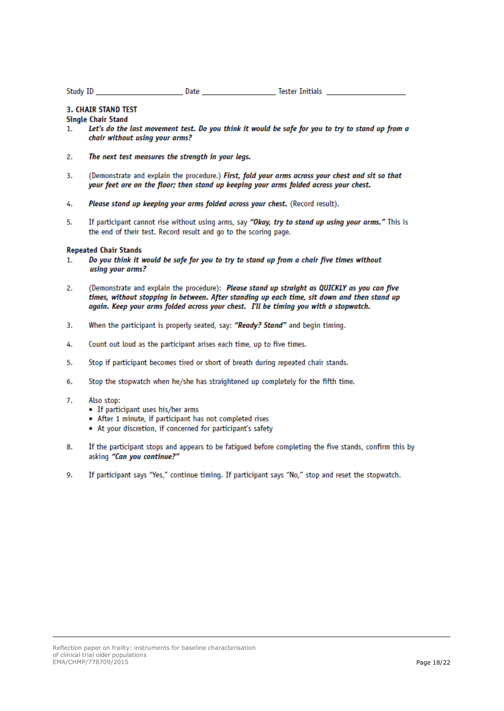Study ID **Date Date Date Tester Initials** 

### **3. CHAIR STAND TEST**

#### **Single Chair Stand**

- Let's do the last movement test. Do you think it would be safe for you to try to stand up from a  $\mathbf{1}$ chair without using your arms?
- 2. The next test measures the strength in your legs.
- $3.$ (Demonstrate and explain the procedure.) First, fold your arms across your chest and sit so that your feet are on the floor; then stand up keeping your arms folded across your chest.
- 4. Please stand up keeping your arms folded across your chest. (Record result).
- If participant cannot rise without using arms, say "Okay, try to stand up using your arms." This is 5. the end of their test. Record result and go to the scoring page.

#### **Repeated Chair Stands**

- Do you think it would be safe for you to try to stand up from a chair five times without 1. using your arms?
- $\overline{2}$ . (Demonstrate and explain the procedure): Please stand up straight as QUICKLY as you can five times, without stopping in between. After standing up each time, sit down and then stand up again. Keep your arms folded across your chest. I'll be timing you with a stopwatch.
- When the participant is properly seated, say: "Ready? Stand" and begin timing. 3.
- 4. Count out loud as the participant arises each time, up to five times.
- 5. Stop if participant becomes tired or short of breath during repeated chair stands.
- 6. Stop the stopwatch when he/she has straightened up completely for the fifth time.
- 7. Also stop:
	- If participant uses his/her arms
	- After 1 minute, if participant has not completed rises
	- At your discretion, if concerned for participant's safety
- 8. If the participant stops and appears to be fatigued before completing the five stands, confirm this by asking "Can you continue?"
- 9. If participant says "Yes," continue timing. If participant says "No," stop and reset the stopwatch.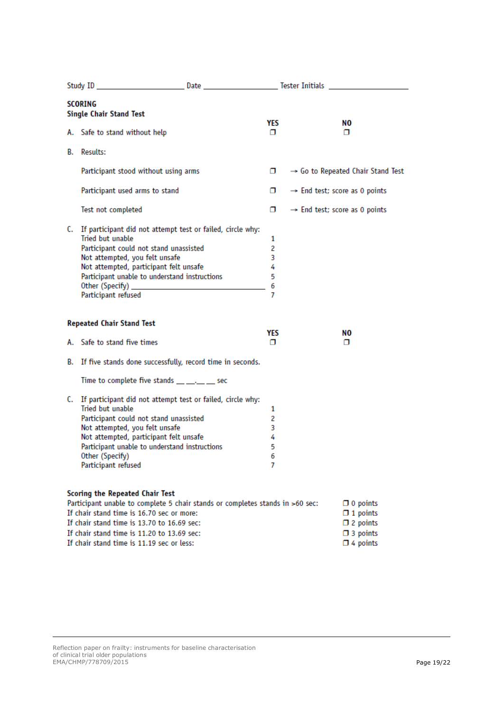| <b>SCORING</b><br><b>Single Chair Stand Test</b>                                                                                                                                                                                                                                                              |  |                                 |                                           |                                                                                             |  |
|---------------------------------------------------------------------------------------------------------------------------------------------------------------------------------------------------------------------------------------------------------------------------------------------------------------|--|---------------------------------|-------------------------------------------|---------------------------------------------------------------------------------------------|--|
| A. Safe to stand without help                                                                                                                                                                                                                                                                                 |  | YES<br>σ                        |                                           | NO.<br>п                                                                                    |  |
| <b>B.</b> Results:                                                                                                                                                                                                                                                                                            |  |                                 |                                           |                                                                                             |  |
| Participant stood without using arms                                                                                                                                                                                                                                                                          |  | α.                              |                                           | $\rightarrow$ Go to Repeated Chair Stand Test                                               |  |
| Participant used arms to stand                                                                                                                                                                                                                                                                                |  | α.                              | $\rightarrow$ End test; score as 0 points |                                                                                             |  |
| Test not completed                                                                                                                                                                                                                                                                                            |  | σ.                              | $\rightarrow$ End test; score as 0 points |                                                                                             |  |
| C. If participant did not attempt test or failed, circle why:<br>Tried but unable<br>Participant could not stand unassisted<br>Not attempted, you felt unsafe<br>Not attempted, participant felt unsafe<br>Participant unable to understand instructions<br>Participant refused                               |  | 1<br>2<br>3<br>4<br>5<br>6<br>7 |                                           |                                                                                             |  |
| <b>Repeated Chair Stand Test</b>                                                                                                                                                                                                                                                                              |  | YES                             |                                           | NO.                                                                                         |  |
| A. Safe to stand five times                                                                                                                                                                                                                                                                                   |  | σ                               |                                           | о                                                                                           |  |
| B. If five stands done successfully, record time in seconds.                                                                                                                                                                                                                                                  |  |                                 |                                           |                                                                                             |  |
| Time to complete five stands $\underline{\hspace{1cm}}\ldots$ $\underline{\hspace{1cm}}$ sec                                                                                                                                                                                                                  |  |                                 |                                           |                                                                                             |  |
| C. If participant did not attempt test or failed, circle why:<br>Tried but unable<br>Participant could not stand unassisted<br>Not attempted, you felt unsafe<br>Not attempted, participant felt unsafe<br>Participant unable to understand instructions<br>Other (Specify)<br>Participant refused            |  | 1<br>2<br>3<br>4<br>5<br>6<br>7 |                                           |                                                                                             |  |
| <b>Scoring the Repeated Chair Test</b><br>Participant unable to complete 5 chair stands or completes stands in >60 sec:<br>If chair stand time is 16.70 sec or more:<br>If chair stand time is 13.70 to 16.69 sec:<br>If chair stand time is 11.20 to 13.69 sec:<br>If chair stand time is 11.19 sec or less: |  |                                 |                                           | $\Box$ 0 points<br>$\Box$ 1 points<br>$\Box$ 2 points<br>$\Box$ 3 points<br>$\Box$ 4 points |  |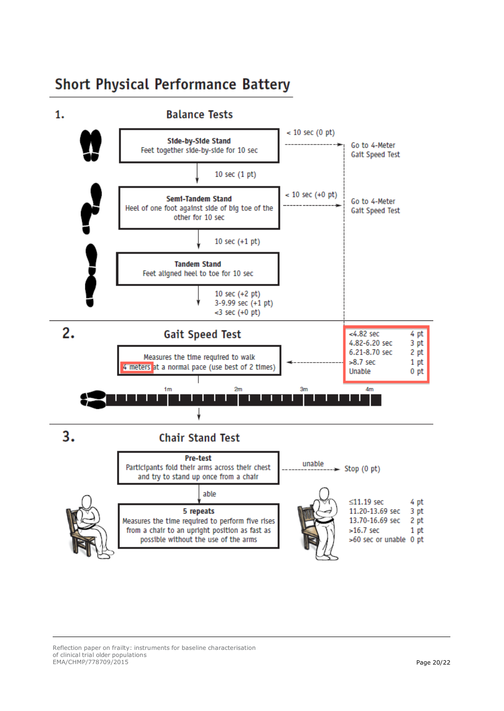# **Short Physical Performance Battery**



Reflection paper on frailty: instruments for baseline characterisation of clinical trial older populations E M A /CHMP /77870 9 /2015 Page 20/22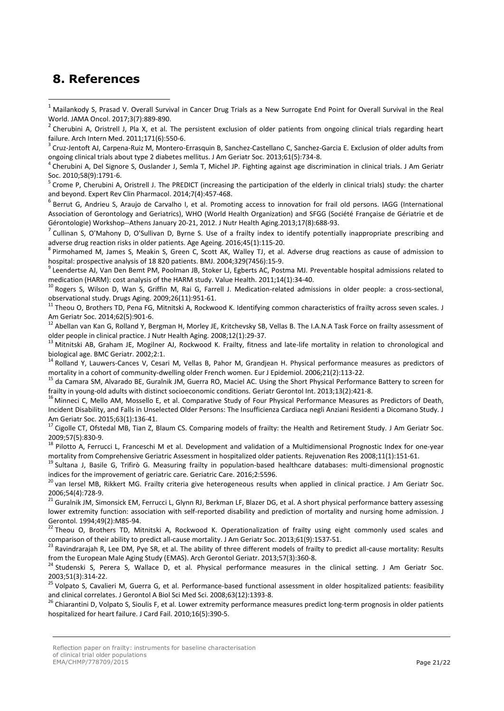### <span id="page-20-0"></span>**8. References**

-

<sup>6</sup> Berrut G, Andrieu S, Araujo de Carvalho I, et al. Promoting access to innovation for frail old persons. IAGG (International Association of Gerontology and Geriatrics), WHO (World Health Organization) and SFGG (Société Française de Gériatrie et de Gérontologie) Workshop--Athens January 20-21, 2012. J Nutr Health Aging.2013;17(8):688-93.

7 Cullinan S, O'Mahony D, O'Sullivan D, Byrne S. Use of a frailty index to identify potentially inappropriate prescribing and adverse drug reaction risks in older patients. Age Ageing. 2016;45(1):115-20.

8 Pirmohamed M, James S, Meakin S, Green C, Scott AK, Walley TJ, et al. Adverse drug reactions as cause of admission to hospital: prospective analysis of 18 820 patients. BMJ. 2004;329(7456):15-9.

<sup>9</sup> Leendertse AJ, Van Den Bemt PM, Poolman JB, Stoker LJ, Egberts AC, Postma MJ. Preventable hospital admissions related to medication (HARM): cost analysis of the HARM study. Value Health. 2011;14(1):34-40.

<sup>10</sup> Rogers S, Wilson D, Wan S, Griffin M, Rai G, Farrell J. Medication-related admissions in older people: a cross-sectional, observational study. Drugs Aging. 2009;26(11):951-61.

<sup>11</sup> Theou O, Brothers TD, Pena FG, Mitnitski A, Rockwood K. Identifying common characteristics of frailty across seven scales. J Am Geriatr Soc. 2014;62(5):901-6.

<sup>12</sup> Abellan van Kan G, Rolland Y, Bergman H, Morley JE, Kritchevsky SB, Vellas B. The I.A.N.A Task Force on frailty assessment of older people in clinical practice. J Nutr Health Aging. 2008;12(1):29-37.

<sup>13</sup> Mitnitski AB, Graham JE, Mogilner AJ, Rockwood K. Frailty, fitness and late-life mortality in relation to chronological and biological age. BMC Geriatr. 2002;2:1.

<sup>14</sup> Rolland Y, Lauwers-Cances V, Cesari M, Vellas B, Pahor M, Grandjean H. Physical performance measures as predictors of mortality in a cohort of community-dwelling older French women. Eur J Epidemiol. 2006;21(2):113-22.

<sup>15</sup> da Camara SM, Alvarado BE, Guralnik JM, Guerra RO, Maciel AC. Using the Short Physical Performance Battery to screen for frailty in young-old adults with distinct socioeconomic conditions. Geriatr Gerontol Int. 2013;13(2):421-8.

<sup>16</sup> Minneci C, Mello AM, Mossello E, et al. Comparative Study of Four Physical Performance Measures as Predictors of Death, Incident Disability, and Falls in Unselected Older Persons: The Insufficienza Cardiaca negli Anziani Residenti a Dicomano Study. J Am Geriatr Soc. 2015;63(1):136-41.

<sup>17</sup> Cigolle CT, Ofstedal MB, Tian Z, Blaum CS. Comparing models of frailty: the Health and Retirement Study. J Am Geriatr Soc. 2009;57(5):830-9.

<sup>18</sup> Pilotto A, Ferrucci L, Franceschi M et al. Development and validation of a Multidimensional Prognostic Index for one-year mortality from Comprehensive Geriatric Assessment in hospitalized older patients. Rejuvenation Res 2008;11(1):151-61.

<sup>19</sup> Sultana J, Basile G, Trifirò G. Measuring frailty in population-based healthcare databases: multi-dimensional prognostic indices for the improvement of geriatric care. Geriatric Care. 2016;2:5596.

<sup>20</sup> van Iersel MB, Rikkert MG. Frailty criteria give heterogeneous results when applied in clinical practice. J Am Geriatr Soc. 2006;54(4):728-9.

<sup>21</sup> Guralnik JM, Simonsick EM, Ferrucci L, Glynn RJ, Berkman LF, Blazer DG, et al. A short physical performance battery assessing lower extremity function: association with self-reported disability and prediction of mortality and nursing home admission. J Gerontol. 1994;49(2):M85-94.

 $^{22}$  Theou O, Brothers TD, Mitnitski A, Rockwood K. Operationalization of frailty using eight commonly used scales and comparison of their ability to predict all-cause mortality. J Am Geriatr Soc. 2013;61(9):1537-51.

<sup>23</sup> Ravindrarajah R, Lee DM, Pye SR, et al. The ability of three different models of frailty to predict all-cause mortality: Results from the European Male Aging Study (EMAS). Arch Gerontol Geriatr. 2013;57(3):360-8.

<sup>24</sup> Studenski S, Perera S, Wallace D, et al. Physical performance measures in the clinical setting. J Am Geriatr Soc. 2003;51(3):314-22.

<sup>25</sup> Volpato S, Cavalieri M, Guerra G, et al. Performance-based functional assessment in older hospitalized patients: feasibility and clinical correlates. J Gerontol A Biol Sci Med Sci. 2008;63(12):1393-8.

<sup>26</sup> Chiarantini D, Volpato S, Sioulis F, et al. Lower extremity performance measures predict long-term prognosis in older patients hospitalized for heart failure. J Card Fail. 2010;16(5):390-5.

<sup>1</sup> Mailankody S, Prasad V. Overall Survival in Cancer Drug Trials as a New Surrogate End Point for Overall Survival in the Real World. JAMA Oncol. 2017;3(7):889-890.

<sup>2</sup> Cherubini A, Oristrell J, Pla X, et al. The persistent exclusion of older patients from ongoing clinical trials regarding heart failure. Arch Intern Med. 2011;171(6):550-6.

<sup>3</sup> Cruz-Jentoft AJ, Carpena-Ruiz M, Montero-Errasquin B, Sanchez-Castellano C, Sanchez-Garcia E. Exclusion of older adults from ongoing clinical trials about type 2 diabetes mellitus. J Am Geriatr Soc. 2013;61(5):734-8.

<sup>4</sup> Cherubini A, Del Signore S, Ouslander J, Semla T, Michel JP. Fighting against age discrimination in clinical trials. J Am Geriatr Soc. 2010;58(9):1791-6.

<sup>&</sup>lt;sup>5</sup> Crome P, Cherubini A, Oristrell J. The PREDICT (increasing the participation of the elderly in clinical trials) study: the charter and beyond. Expert Rev Clin Pharmacol. 2014;7(4):457-468.

Reflection paper on frailty: instruments for baseline characterisation

of clinical trial older populations EMA/CHMP/778709/2015 **Page 21/22**